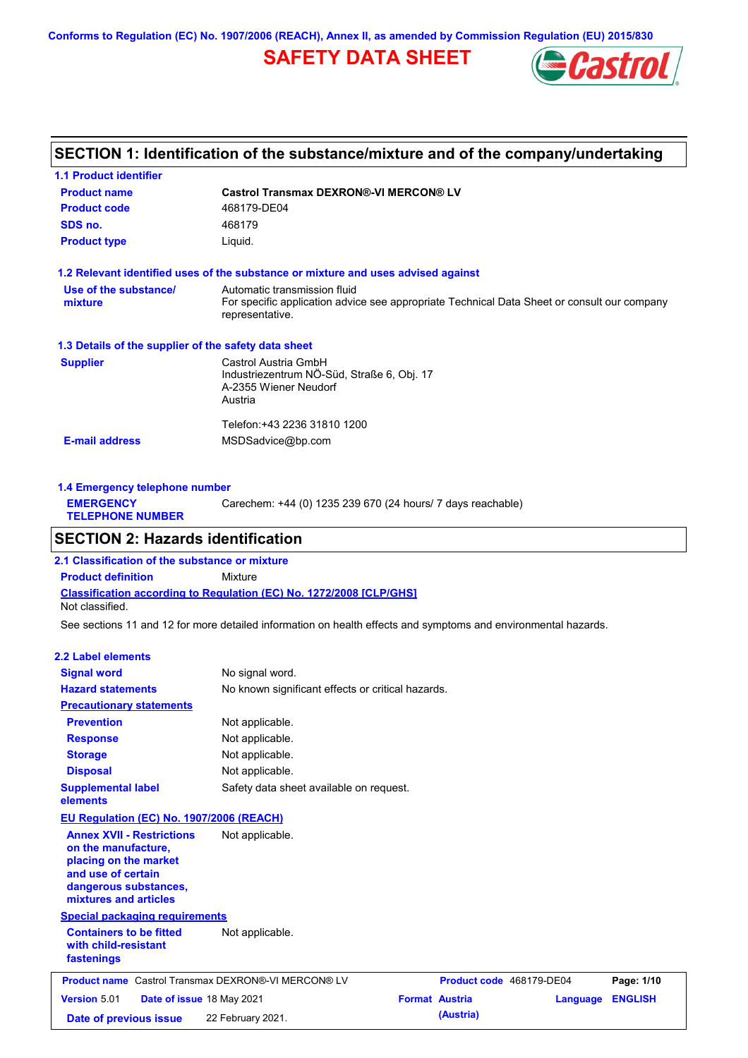**Conforms to Regulation (EC) No. 1907/2006 (REACH), Annex II, as amended by Commission Regulation (EU) 2015/830**

# **SAFETY DATA SHEET**



## **SECTION 1: Identification of the substance/mixture and of the company/undertaking**

| <b>Castrol Transmax DEXRON®-VI MERCON® LV</b>                                                                  |
|----------------------------------------------------------------------------------------------------------------|
| 468179-DE04                                                                                                    |
| 468179                                                                                                         |
| Liquid.                                                                                                        |
| 1.2 Relevant identified uses of the substance or mixture and uses advised against                              |
| Automatic transmission fluid                                                                                   |
| For specific application advice see appropriate Technical Data Sheet or consult our company<br>representative. |
| 1.3 Details of the supplier of the safety data sheet                                                           |
| Castrol Austria GmbH                                                                                           |
| Industriezentrum NÖ-Süd, Straße 6, Obj. 17                                                                     |
| A-2355 Wiener Neudorf<br>Austria                                                                               |
|                                                                                                                |
| Telefon: +43 2236 31810 1200                                                                                   |
| MSDSadvice@bp.com                                                                                              |
|                                                                                                                |
|                                                                                                                |

| 1.4 Emergency telephone number              |                                                             |  |  |  |  |
|---------------------------------------------|-------------------------------------------------------------|--|--|--|--|
| <b>EMERGENCY</b><br><b>TELEPHONE NUMBER</b> | Carechem: +44 (0) 1235 239 670 (24 hours/ 7 days reachable) |  |  |  |  |
|                                             |                                                             |  |  |  |  |

## **SECTION 2: Hazards identification**

**Classification according to Regulation (EC) No. 1272/2008 [CLP/GHS] 2.1 Classification of the substance or mixture Product definition** Mixture Not classified.

See sections 11 and 12 for more detailed information on health effects and symptoms and environmental hazards.

#### **2.2 Label elements**

| <b>Signal word</b>                                                                                                                                       | No signal word.                                            |                          |          |                |
|----------------------------------------------------------------------------------------------------------------------------------------------------------|------------------------------------------------------------|--------------------------|----------|----------------|
| <b>Hazard statements</b>                                                                                                                                 | No known significant effects or critical hazards.          |                          |          |                |
| <b>Precautionary statements</b>                                                                                                                          |                                                            |                          |          |                |
| <b>Prevention</b>                                                                                                                                        | Not applicable.                                            |                          |          |                |
| <b>Response</b>                                                                                                                                          | Not applicable.                                            |                          |          |                |
| <b>Storage</b>                                                                                                                                           | Not applicable.                                            |                          |          |                |
| <b>Disposal</b>                                                                                                                                          | Not applicable.                                            |                          |          |                |
| <b>Supplemental label</b><br>elements                                                                                                                    | Safety data sheet available on request.                    |                          |          |                |
| EU Regulation (EC) No. 1907/2006 (REACH)                                                                                                                 |                                                            |                          |          |                |
| <b>Annex XVII - Restrictions</b><br>on the manufacture,<br>placing on the market<br>and use of certain<br>dangerous substances,<br>mixtures and articles | Not applicable.                                            |                          |          |                |
| <b>Special packaging requirements</b>                                                                                                                    |                                                            |                          |          |                |
| <b>Containers to be fitted</b><br>with child-resistant<br>fastenings                                                                                     | Not applicable.                                            |                          |          |                |
|                                                                                                                                                          | <b>Product name</b> Castrol Transmax DEXRON®-VI MERCON® LV | Product code 468179-DE04 |          | Page: 1/10     |
| Version 5.01<br>Date of issue 18 May 2021                                                                                                                |                                                            | <b>Format Austria</b>    | Language | <b>ENGLISH</b> |
| Date of previous issue                                                                                                                                   | 22 February 2021.                                          | (Austria)                |          |                |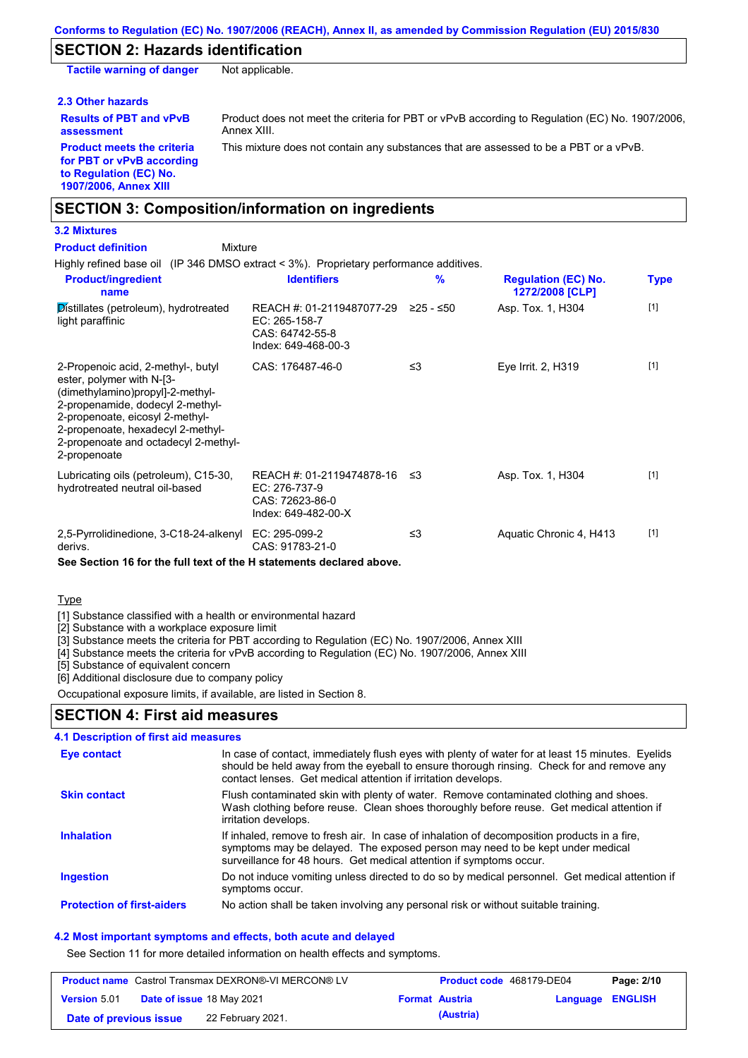### **SECTION 2: Hazards identification**

**Tactile warning of danger** Not applicable.

#### **2.3 Other hazards**

**Results of PBT and vPvB assessment**

Product does not meet the criteria for PBT or vPvB according to Regulation (EC) No. 1907/2006, Annex XIII.

**Product meets the criteria for PBT or vPvB according to Regulation (EC) No. 1907/2006, Annex XIII**

This mixture does not contain any substances that are assessed to be a PBT or a vPvB.

### **SECTION 3: Composition/information on ingredients**

### **3.2 Mixtures**

Highly refined base oil (IP 346 DMSO extract < 3%). Proprietary performance additives. Distillates (petroleum), hydrotreated light paraffinic REACH #: 01-2119487077-29 EC: 265-158-7 CAS: 64742-55-8 Index: 649-468-00-3 Asp. Tox. 1, H304 [1] 2-Propenoic acid, 2-methyl-, butyl ester, polymer with N-[3- (dimethylamino)propyl]-2-methyl-2-propenamide, dodecyl 2-methyl-2-propenoate, eicosyl 2-methyl-2-propenoate, hexadecyl 2-methyl-2-propenoate and octadecyl 2-methyl-2-propenoate CAS: 176487-46-0 ≤3 Eye Irrit. 2, H319 [1] Lubricating oils (petroleum), C15-30, hydrotreated neutral oil-based REACH #: 01-2119474878-16 EC: 276-737-9 CAS: 72623-86-0 Index: 649-482-00-X Asp. Tox. 1, H304 [1] 2,5-Pyrrolidinedione, 3-C18-24-alkenyl EC: 295-099-2 derivs. CAS: 91783-21-0 ≤3 Aquatic Chronic 4, H413 [1] **Product/ingredient name % Regulation (EC) No. Identifiers Type 1272/2008 [CLP]** Mixture **Product definition**

**See Section 16 for the full text of the H statements declared above.**

Type

[1] Substance classified with a health or environmental hazard

[2] Substance with a workplace exposure limit

[3] Substance meets the criteria for PBT according to Regulation (EC) No. 1907/2006, Annex XIII

[4] Substance meets the criteria for vPvB according to Regulation (EC) No. 1907/2006, Annex XIII

[5] Substance of equivalent concern

[6] Additional disclosure due to company policy

Occupational exposure limits, if available, are listed in Section 8.

### **SECTION 4: First aid measures**

| 4.1 Description of first aid measures |                                                                                                                                                                                                                                                                |
|---------------------------------------|----------------------------------------------------------------------------------------------------------------------------------------------------------------------------------------------------------------------------------------------------------------|
| Eye contact                           | In case of contact, immediately flush eyes with plenty of water for at least 15 minutes. Eyelids<br>should be held away from the eyeball to ensure thorough rinsing. Check for and remove any<br>contact lenses. Get medical attention if irritation develops. |
| <b>Skin contact</b>                   | Flush contaminated skin with plenty of water. Remove contaminated clothing and shoes.<br>Wash clothing before reuse. Clean shoes thoroughly before reuse. Get medical attention if<br>irritation develops.                                                     |
| <b>Inhalation</b>                     | If inhaled, remove to fresh air. In case of inhalation of decomposition products in a fire,<br>symptoms may be delayed. The exposed person may need to be kept under medical<br>surveillance for 48 hours. Get medical attention if symptoms occur.            |
| <b>Ingestion</b>                      | Do not induce vomiting unless directed to do so by medical personnel. Get medical attention if<br>symptoms occur.                                                                                                                                              |
| <b>Protection of first-aiders</b>     | No action shall be taken involving any personal risk or without suitable training.                                                                                                                                                                             |

#### **4.2 Most important symptoms and effects, both acute and delayed**

See Section 11 for more detailed information on health effects and symptoms.

| <b>Product name</b> Castrol Transmax DEXRON®-VI MERCON® LV |  | <b>Product code</b> 468179-DE04  |  | Page: 2/10            |                         |  |
|------------------------------------------------------------|--|----------------------------------|--|-----------------------|-------------------------|--|
| <b>Version</b> 5.01                                        |  | <b>Date of issue 18 May 2021</b> |  | <b>Format Austria</b> | <b>Language ENGLISH</b> |  |
| Date of previous issue                                     |  | 22 February 2021.                |  | (Austria)             |                         |  |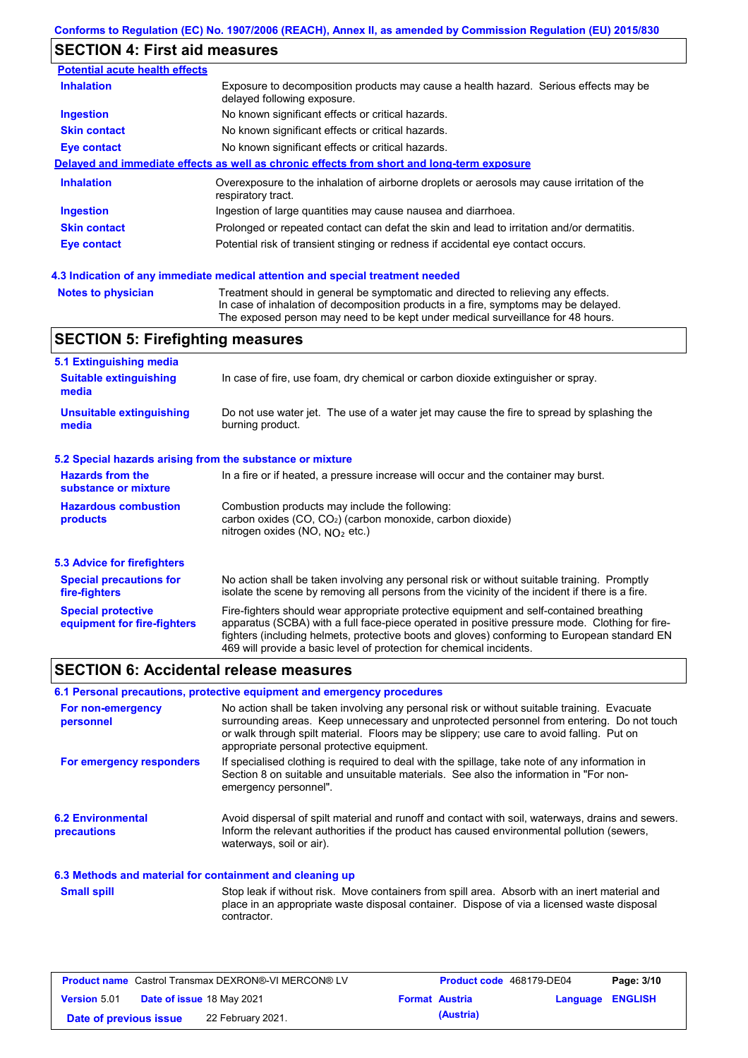# **SECTION 4: First aid measures**

| <b>Potential acute health effects</b> |                                                                                                                     |
|---------------------------------------|---------------------------------------------------------------------------------------------------------------------|
| <b>Inhalation</b>                     | Exposure to decomposition products may cause a health hazard. Serious effects may be<br>delayed following exposure. |
| <b>Ingestion</b>                      | No known significant effects or critical hazards.                                                                   |
| <b>Skin contact</b>                   | No known significant effects or critical hazards.                                                                   |
| Eye contact                           | No known significant effects or critical hazards.                                                                   |
|                                       | Delayed and immediate effects as well as chronic effects from short and long-term exposure                          |
| <b>Inhalation</b>                     | Overexposure to the inhalation of airborne droplets or aerosols may cause irritation of the<br>respiratory tract.   |
| <b>Ingestion</b>                      | Ingestion of large quantities may cause nausea and diarrhoea.                                                       |
| <b>Skin contact</b>                   | Prolonged or repeated contact can defat the skin and lead to irritation and/or dermatitis.                          |
| <b>Eye contact</b>                    | Potential risk of transient stinging or redness if accidental eye contact occurs.                                   |
|                                       |                                                                                                                     |

### **4.3 Indication of any immediate medical attention and special treatment needed**

```
Notes to physician Treatment should in general be symptomatic and directed to relieving any effects.
                   In case of inhalation of decomposition products in a fire, symptoms may be delayed.
                   The exposed person may need to be kept under medical surveillance for 48 hours.
```
### **SECTION 5: Firefighting measures**

| 5.1 Extinguishing media                                   |                                                                                                                                                                                                                                                                                                                                                                   |
|-----------------------------------------------------------|-------------------------------------------------------------------------------------------------------------------------------------------------------------------------------------------------------------------------------------------------------------------------------------------------------------------------------------------------------------------|
| <b>Suitable extinguishing</b><br>media                    | In case of fire, use foam, dry chemical or carbon dioxide extinguisher or spray.                                                                                                                                                                                                                                                                                  |
| <b>Unsuitable extinguishing</b><br>media                  | Do not use water jet. The use of a water jet may cause the fire to spread by splashing the<br>burning product.                                                                                                                                                                                                                                                    |
| 5.2 Special hazards arising from the substance or mixture |                                                                                                                                                                                                                                                                                                                                                                   |
| <b>Hazards from the</b><br>substance or mixture           | In a fire or if heated, a pressure increase will occur and the container may burst.                                                                                                                                                                                                                                                                               |
| <b>Hazardous combustion</b><br>products                   | Combustion products may include the following:<br>carbon oxides (CO, CO <sub>2</sub> ) (carbon monoxide, carbon dioxide)<br>nitrogen oxides (NO, $NQ_2$ etc.)                                                                                                                                                                                                     |
| 5.3 Advice for firefighters                               |                                                                                                                                                                                                                                                                                                                                                                   |
| <b>Special precautions for</b><br>fire-fighters           | No action shall be taken involving any personal risk or without suitable training. Promptly<br>isolate the scene by removing all persons from the vicinity of the incident if there is a fire.                                                                                                                                                                    |
| <b>Special protective</b><br>equipment for fire-fighters  | Fire-fighters should wear appropriate protective equipment and self-contained breathing<br>apparatus (SCBA) with a full face-piece operated in positive pressure mode. Clothing for fire-<br>fighters (including helmets, protective boots and gloves) conforming to European standard EN<br>469 will provide a basic level of protection for chemical incidents. |

### **SECTION 6: Accidental release measures**

### **6.1 Personal precautions, protective equipment and emergency procedures**

| For non-emergency<br>personnel                           | No action shall be taken involving any personal risk or without suitable training. Evacuate<br>surrounding areas. Keep unnecessary and unprotected personnel from entering. Do not touch<br>or walk through spilt material. Floors may be slippery; use care to avoid falling. Put on<br>appropriate personal protective equipment. |
|----------------------------------------------------------|-------------------------------------------------------------------------------------------------------------------------------------------------------------------------------------------------------------------------------------------------------------------------------------------------------------------------------------|
| For emergency responders                                 | If specialised clothing is required to deal with the spillage, take note of any information in<br>Section 8 on suitable and unsuitable materials. See also the information in "For non-<br>emergency personnel".                                                                                                                    |
| <b>6.2 Environmental</b><br>precautions                  | Avoid dispersal of spilt material and runoff and contact with soil, waterways, drains and sewers.<br>Inform the relevant authorities if the product has caused environmental pollution (sewers,<br>waterways, soil or air).                                                                                                         |
| 6.3 Methods and material for containment and cleaning up |                                                                                                                                                                                                                                                                                                                                     |
| <b>Small spill</b>                                       | Stop leak if without risk. Move containers from spill area. Absorb with an inert material and<br>place in an appropriate waste disposal container. Dispose of via a licensed waste disposal<br>contractor.                                                                                                                          |

| <b>Product name</b> Castrol Transmax DEXRON®-VI MERCON® LV |                                  | <b>Product code</b> 468179-DE04 |                       | Page: 3/10       |  |
|------------------------------------------------------------|----------------------------------|---------------------------------|-----------------------|------------------|--|
| <b>Version 5.01</b>                                        | <b>Date of issue 18 May 2021</b> |                                 | <b>Format Austria</b> | Language ENGLISH |  |
| Date of previous issue                                     | 22 February 2021.                |                                 | (Austria)             |                  |  |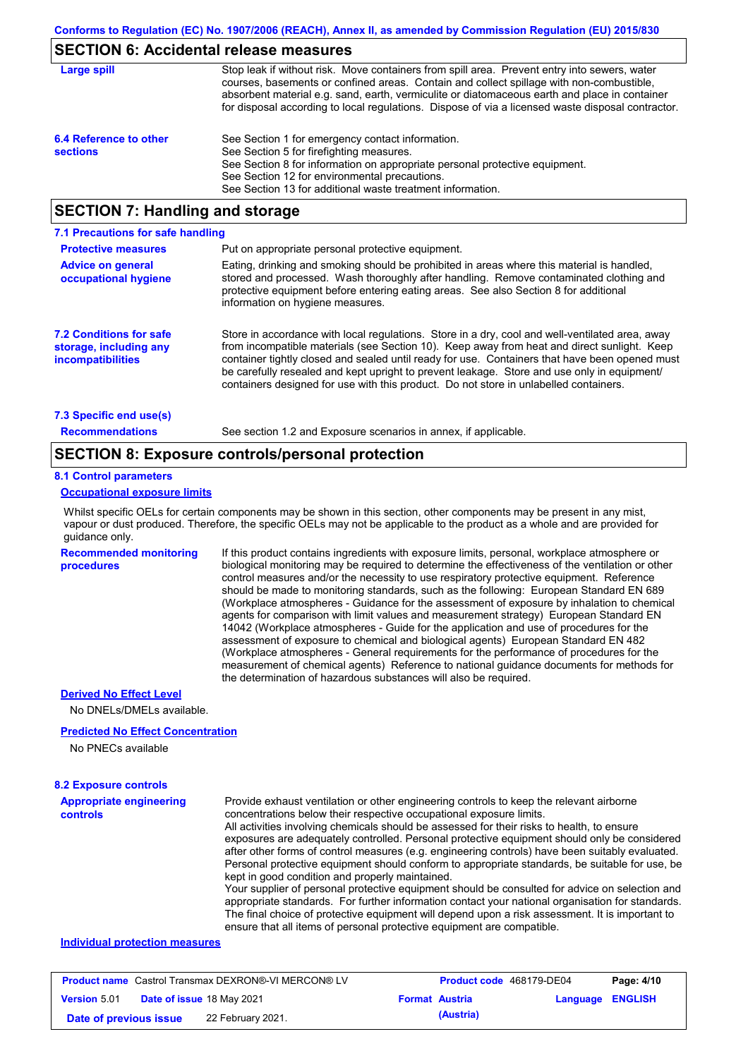### **SECTION 6: Accidental release measures**

| Large spill                               | Stop leak if without risk. Move containers from spill area. Prevent entry into sewers, water<br>courses, basements or confined areas. Contain and collect spillage with non-combustible,<br>absorbent material e.g. sand, earth, vermiculite or diatomaceous earth and place in container<br>for disposal according to local regulations. Dispose of via a licensed waste disposal contractor. |
|-------------------------------------------|------------------------------------------------------------------------------------------------------------------------------------------------------------------------------------------------------------------------------------------------------------------------------------------------------------------------------------------------------------------------------------------------|
| 6.4 Reference to other<br><b>sections</b> | See Section 1 for emergency contact information.<br>See Section 5 for firefighting measures.<br>See Section 8 for information on appropriate personal protective equipment.<br>See Section 12 for environmental precautions.<br>See Section 13 for additional waste treatment information.                                                                                                     |

### **SECTION 7: Handling and storage**

| 7.1 Precautions for safe handling                                                    |                                                                                                                                                                                                                                                                                                                                                                                                                                                                                          |
|--------------------------------------------------------------------------------------|------------------------------------------------------------------------------------------------------------------------------------------------------------------------------------------------------------------------------------------------------------------------------------------------------------------------------------------------------------------------------------------------------------------------------------------------------------------------------------------|
| <b>Protective measures</b>                                                           | Put on appropriate personal protective equipment.                                                                                                                                                                                                                                                                                                                                                                                                                                        |
| <b>Advice on general</b><br>occupational hygiene                                     | Eating, drinking and smoking should be prohibited in areas where this material is handled,<br>stored and processed. Wash thoroughly after handling. Remove contaminated clothing and<br>protective equipment before entering eating areas. See also Section 8 for additional<br>information on hygiene measures.                                                                                                                                                                         |
| <b>7.2 Conditions for safe</b><br>storage, including any<br><i>incompatibilities</i> | Store in accordance with local requiations. Store in a dry, cool and well-ventilated area, away<br>from incompatible materials (see Section 10). Keep away from heat and direct sunlight. Keep<br>container tightly closed and sealed until ready for use. Containers that have been opened must<br>be carefully resealed and kept upright to prevent leakage. Store and use only in equipment/<br>containers designed for use with this product. Do not store in unlabelled containers. |
| 7.3 Specific end use(s)                                                              |                                                                                                                                                                                                                                                                                                                                                                                                                                                                                          |
| <b>Recommendations</b>                                                               | See section 1.2 and Exposure scenarios in annex, if applicable.                                                                                                                                                                                                                                                                                                                                                                                                                          |

### **SECTION 8: Exposure controls/personal protection**

#### **8.1 Control parameters**

#### **Occupational exposure limits**

Whilst specific OELs for certain components may be shown in this section, other components may be present in any mist, vapour or dust produced. Therefore, the specific OELs may not be applicable to the product as a whole and are provided for guidance only.

**Recommended monitoring procedures** If this product contains ingredients with exposure limits, personal, workplace atmosphere or biological monitoring may be required to determine the effectiveness of the ventilation or other control measures and/or the necessity to use respiratory protective equipment. Reference should be made to monitoring standards, such as the following: European Standard EN 689 (Workplace atmospheres - Guidance for the assessment of exposure by inhalation to chemical agents for comparison with limit values and measurement strategy) European Standard EN 14042 (Workplace atmospheres - Guide for the application and use of procedures for the assessment of exposure to chemical and biological agents) European Standard EN 482 (Workplace atmospheres - General requirements for the performance of procedures for the measurement of chemical agents) Reference to national guidance documents for methods for the determination of hazardous substances will also be required.

### **Derived No Effect Level**

No DNELs/DMELs available.

#### **Predicted No Effect Concentration**

No PNECs available

### **8.2 Exposure controls**

**Appropriate engineering controls** Provide exhaust ventilation or other engineering controls to keep the relevant airborne concentrations below their respective occupational exposure limits. All activities involving chemicals should be assessed for their risks to health, to ensure exposures are adequately controlled. Personal protective equipment should only be considered after other forms of control measures (e.g. engineering controls) have been suitably evaluated. Personal protective equipment should conform to appropriate standards, be suitable for use, be kept in good condition and properly maintained. Your supplier of personal protective equipment should be consulted for advice on selection and

appropriate standards. For further information contact your national organisation for standards. The final choice of protective equipment will depend upon a risk assessment. It is important to ensure that all items of personal protective equipment are compatible.

### **Individual protection measures**

| <b>Product name</b> Castrol Transmax DEXRON®-VI MERCON® LV |  | <b>Product code</b> 468179-DE04  |  | Page: 4/10            |                  |  |
|------------------------------------------------------------|--|----------------------------------|--|-----------------------|------------------|--|
| <b>Version 5.01</b>                                        |  | <b>Date of issue 18 May 2021</b> |  | <b>Format Austria</b> | Language ENGLISH |  |
| Date of previous issue                                     |  | 22 February 2021.                |  | (Austria)             |                  |  |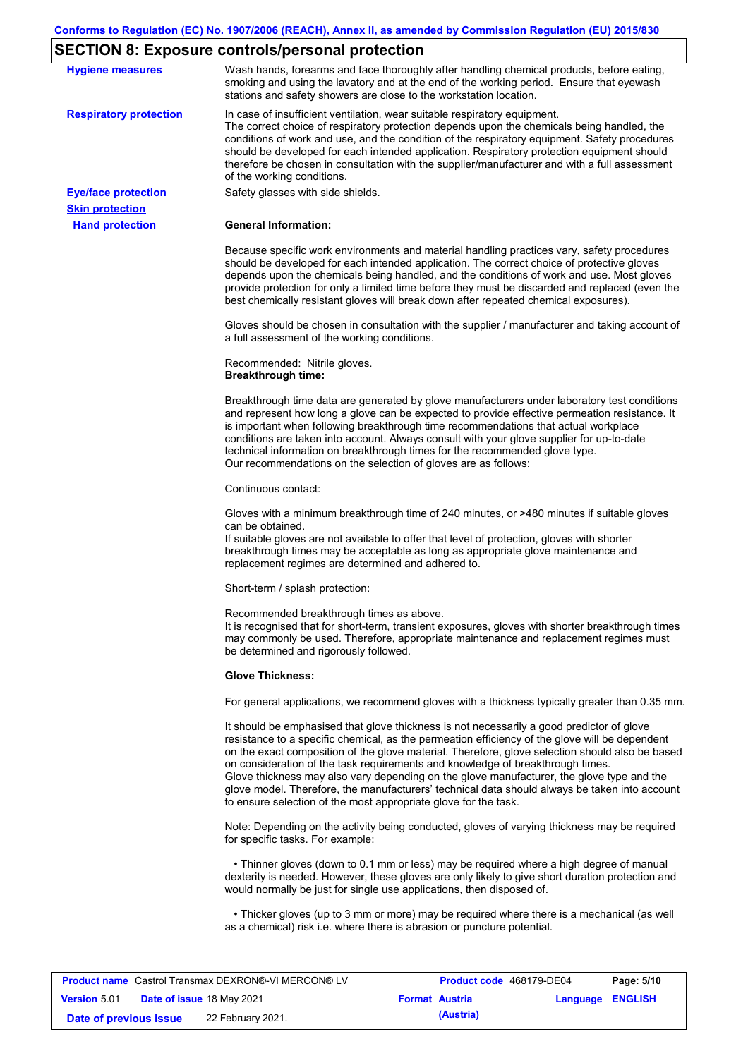### **SECTION 8: Exposure controls/personal protection**

| <b>Hygiene measures</b>                              | Wash hands, forearms and face thoroughly after handling chemical products, before eating,<br>smoking and using the lavatory and at the end of the working period. Ensure that eyewash<br>stations and safety showers are close to the workstation location.                                                                                                                                                                                                                                                                                                                                                                                       |
|------------------------------------------------------|---------------------------------------------------------------------------------------------------------------------------------------------------------------------------------------------------------------------------------------------------------------------------------------------------------------------------------------------------------------------------------------------------------------------------------------------------------------------------------------------------------------------------------------------------------------------------------------------------------------------------------------------------|
| <b>Respiratory protection</b>                        | In case of insufficient ventilation, wear suitable respiratory equipment.<br>The correct choice of respiratory protection depends upon the chemicals being handled, the<br>conditions of work and use, and the condition of the respiratory equipment. Safety procedures<br>should be developed for each intended application. Respiratory protection equipment should<br>therefore be chosen in consultation with the supplier/manufacturer and with a full assessment<br>of the working conditions.                                                                                                                                             |
| <b>Eye/face protection</b><br><b>Skin protection</b> | Safety glasses with side shields.                                                                                                                                                                                                                                                                                                                                                                                                                                                                                                                                                                                                                 |
| <b>Hand protection</b>                               | <b>General Information:</b>                                                                                                                                                                                                                                                                                                                                                                                                                                                                                                                                                                                                                       |
|                                                      | Because specific work environments and material handling practices vary, safety procedures<br>should be developed for each intended application. The correct choice of protective gloves<br>depends upon the chemicals being handled, and the conditions of work and use. Most gloves<br>provide protection for only a limited time before they must be discarded and replaced (even the<br>best chemically resistant gloves will break down after repeated chemical exposures).                                                                                                                                                                  |
|                                                      | Gloves should be chosen in consultation with the supplier / manufacturer and taking account of<br>a full assessment of the working conditions.                                                                                                                                                                                                                                                                                                                                                                                                                                                                                                    |
|                                                      | Recommended: Nitrile gloves.<br><b>Breakthrough time:</b>                                                                                                                                                                                                                                                                                                                                                                                                                                                                                                                                                                                         |
|                                                      | Breakthrough time data are generated by glove manufacturers under laboratory test conditions<br>and represent how long a glove can be expected to provide effective permeation resistance. It<br>is important when following breakthrough time recommendations that actual workplace<br>conditions are taken into account. Always consult with your glove supplier for up-to-date<br>technical information on breakthrough times for the recommended glove type.<br>Our recommendations on the selection of gloves are as follows:                                                                                                                |
|                                                      | Continuous contact:                                                                                                                                                                                                                                                                                                                                                                                                                                                                                                                                                                                                                               |
|                                                      | Gloves with a minimum breakthrough time of 240 minutes, or >480 minutes if suitable gloves<br>can be obtained.<br>If suitable gloves are not available to offer that level of protection, gloves with shorter<br>breakthrough times may be acceptable as long as appropriate glove maintenance and<br>replacement regimes are determined and adhered to.                                                                                                                                                                                                                                                                                          |
|                                                      | Short-term / splash protection:                                                                                                                                                                                                                                                                                                                                                                                                                                                                                                                                                                                                                   |
|                                                      | Recommended breakthrough times as above<br>It is recognised that for short-term, transient exposures, gloves with shorter breakthrough times<br>may commonly be used. Therefore, appropriate maintenance and replacement regimes must<br>be determined and rigorously followed.                                                                                                                                                                                                                                                                                                                                                                   |
|                                                      | <b>Glove Thickness:</b>                                                                                                                                                                                                                                                                                                                                                                                                                                                                                                                                                                                                                           |
|                                                      | For general applications, we recommend gloves with a thickness typically greater than 0.35 mm.                                                                                                                                                                                                                                                                                                                                                                                                                                                                                                                                                    |
|                                                      | It should be emphasised that glove thickness is not necessarily a good predictor of glove<br>resistance to a specific chemical, as the permeation efficiency of the glove will be dependent<br>on the exact composition of the glove material. Therefore, glove selection should also be based<br>on consideration of the task requirements and knowledge of breakthrough times.<br>Glove thickness may also vary depending on the glove manufacturer, the glove type and the<br>glove model. Therefore, the manufacturers' technical data should always be taken into account<br>to ensure selection of the most appropriate glove for the task. |
|                                                      | Note: Depending on the activity being conducted, gloves of varying thickness may be required<br>for specific tasks. For example:                                                                                                                                                                                                                                                                                                                                                                                                                                                                                                                  |
|                                                      | • Thinner gloves (down to 0.1 mm or less) may be required where a high degree of manual<br>dexterity is needed. However, these gloves are only likely to give short duration protection and<br>would normally be just for single use applications, then disposed of.                                                                                                                                                                                                                                                                                                                                                                              |
|                                                      | • Thicker gloves (up to 3 mm or more) may be required where there is a mechanical (as well<br>as a chemical) risk i.e. where there is abrasion or puncture potential.                                                                                                                                                                                                                                                                                                                                                                                                                                                                             |

|                        |                                  | <b>Product name</b> Castrol Transmax DEXRON®-VI MERCON® LV | <b>Product code</b> 468179-DE04 |                  | Page: 5/10 |
|------------------------|----------------------------------|------------------------------------------------------------|---------------------------------|------------------|------------|
| <b>Version 5.01</b>    | <b>Date of issue 18 May 2021</b> |                                                            | <b>Format Austria</b>           | Language ENGLISH |            |
| Date of previous issue |                                  | 22 February 2021.                                          | (Austria)                       |                  |            |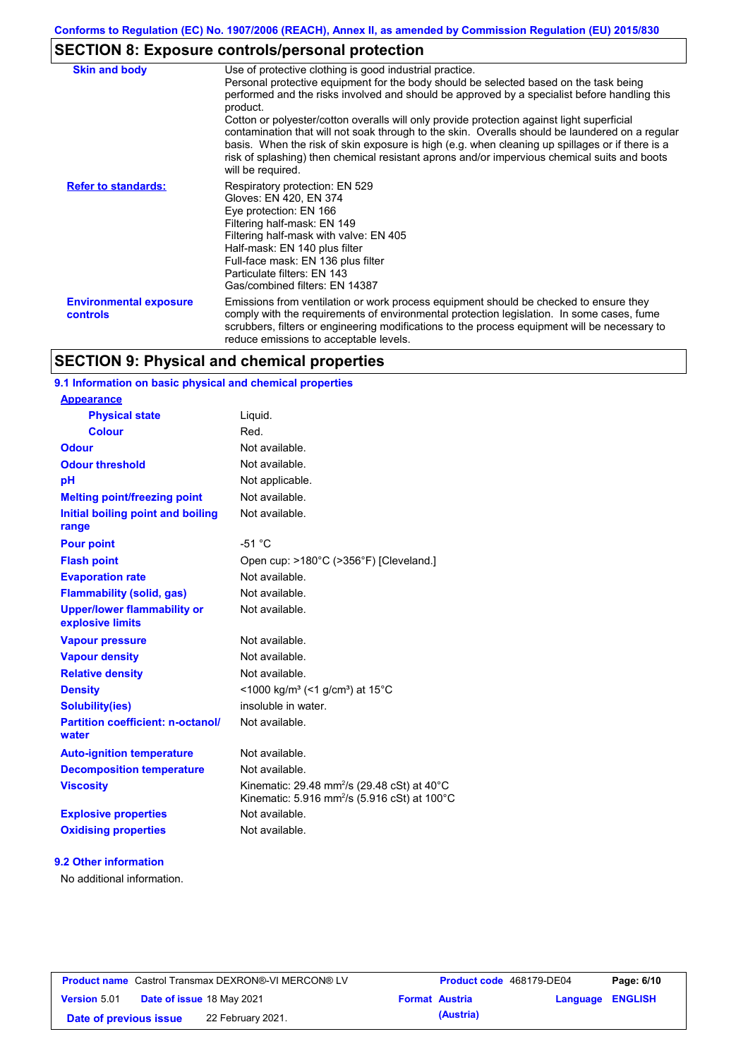# **SECTION 8: Exposure controls/personal protection**

| <b>Skin and body</b>                      | Use of protective clothing is good industrial practice.<br>Personal protective equipment for the body should be selected based on the task being<br>performed and the risks involved and should be approved by a specialist before handling this<br>product.<br>Cotton or polyester/cotton overalls will only provide protection against light superficial<br>contamination that will not soak through to the skin. Overalls should be laundered on a regular<br>basis. When the risk of skin exposure is high (e.g. when cleaning up spillages or if there is a<br>risk of splashing) then chemical resistant aprons and/or impervious chemical suits and boots<br>will be required. |
|-------------------------------------------|---------------------------------------------------------------------------------------------------------------------------------------------------------------------------------------------------------------------------------------------------------------------------------------------------------------------------------------------------------------------------------------------------------------------------------------------------------------------------------------------------------------------------------------------------------------------------------------------------------------------------------------------------------------------------------------|
| <b>Refer to standards:</b>                | Respiratory protection: EN 529<br>Gloves: EN 420, EN 374<br>Eye protection: EN 166<br>Filtering half-mask: EN 149<br>Filtering half-mask with valve: EN 405<br>Half-mask: EN 140 plus filter<br>Full-face mask: EN 136 plus filter<br>Particulate filters: EN 143<br>Gas/combined filters: EN 14387                                                                                                                                                                                                                                                                                                                                                                                   |
| <b>Environmental exposure</b><br>controls | Emissions from ventilation or work process equipment should be checked to ensure they<br>comply with the requirements of environmental protection legislation. In some cases, fume<br>scrubbers, filters or engineering modifications to the process equipment will be necessary to<br>reduce emissions to acceptable levels.                                                                                                                                                                                                                                                                                                                                                         |

## **SECTION 9: Physical and chemical properties**

### **9.1 Information on basic physical and chemical properties**

| <b>Appearance</b>                                      |                                                                                                                                           |
|--------------------------------------------------------|-------------------------------------------------------------------------------------------------------------------------------------------|
| <b>Physical state</b>                                  | Liquid.                                                                                                                                   |
| <b>Colour</b>                                          | Red.                                                                                                                                      |
| <b>Odour</b>                                           | Not available.                                                                                                                            |
| <b>Odour threshold</b>                                 | Not available.                                                                                                                            |
| pH                                                     | Not applicable.                                                                                                                           |
| <b>Melting point/freezing point</b>                    | Not available.                                                                                                                            |
| Initial boiling point and boiling<br>range             | Not available.                                                                                                                            |
| <b>Pour point</b>                                      | $-51 °C$                                                                                                                                  |
| <b>Flash point</b>                                     | Open cup: >180°C (>356°F) [Cleveland.]                                                                                                    |
| <b>Evaporation rate</b>                                | Not available.                                                                                                                            |
| <b>Flammability (solid, gas)</b>                       | Not available.                                                                                                                            |
| <b>Upper/lower flammability or</b><br>explosive limits | Not available.                                                                                                                            |
| <b>Vapour pressure</b>                                 | Not available.                                                                                                                            |
| <b>Vapour density</b>                                  | Not available.                                                                                                                            |
| <b>Relative density</b>                                | Not available.                                                                                                                            |
| <b>Density</b>                                         | <1000 kg/m <sup>3</sup> (<1 g/cm <sup>3</sup> ) at 15 <sup>°</sup> C                                                                      |
| <b>Solubility(ies)</b>                                 | insoluble in water.                                                                                                                       |
| <b>Partition coefficient: n-octanol/</b><br>water      | Not available.                                                                                                                            |
| <b>Auto-ignition temperature</b>                       | Not available.                                                                                                                            |
| <b>Decomposition temperature</b>                       | Not available.                                                                                                                            |
| <b>Viscosity</b>                                       | Kinematic: 29.48 mm <sup>2</sup> /s (29.48 cSt) at 40 $^{\circ}$ C<br>Kinematic: 5.916 mm <sup>2</sup> /s (5.916 cSt) at 100 $^{\circ}$ C |
| <b>Explosive properties</b>                            | Not available                                                                                                                             |
| <b>Oxidising properties</b>                            | Not available.                                                                                                                            |
|                                                        |                                                                                                                                           |

### **9.2 Other information**

No additional information.

| <b>Product name</b> Castrol Transmax DEXRON®-VI MERCON® LV |  | Product code 468179-DE04  |                       | Page: 6/10 |                         |  |
|------------------------------------------------------------|--|---------------------------|-----------------------|------------|-------------------------|--|
| <b>Version 5.01</b>                                        |  | Date of issue 18 May 2021 | <b>Format Austria</b> |            | <b>Language ENGLISH</b> |  |
| Date of previous issue                                     |  | 22 February 2021.         |                       | (Austria)  |                         |  |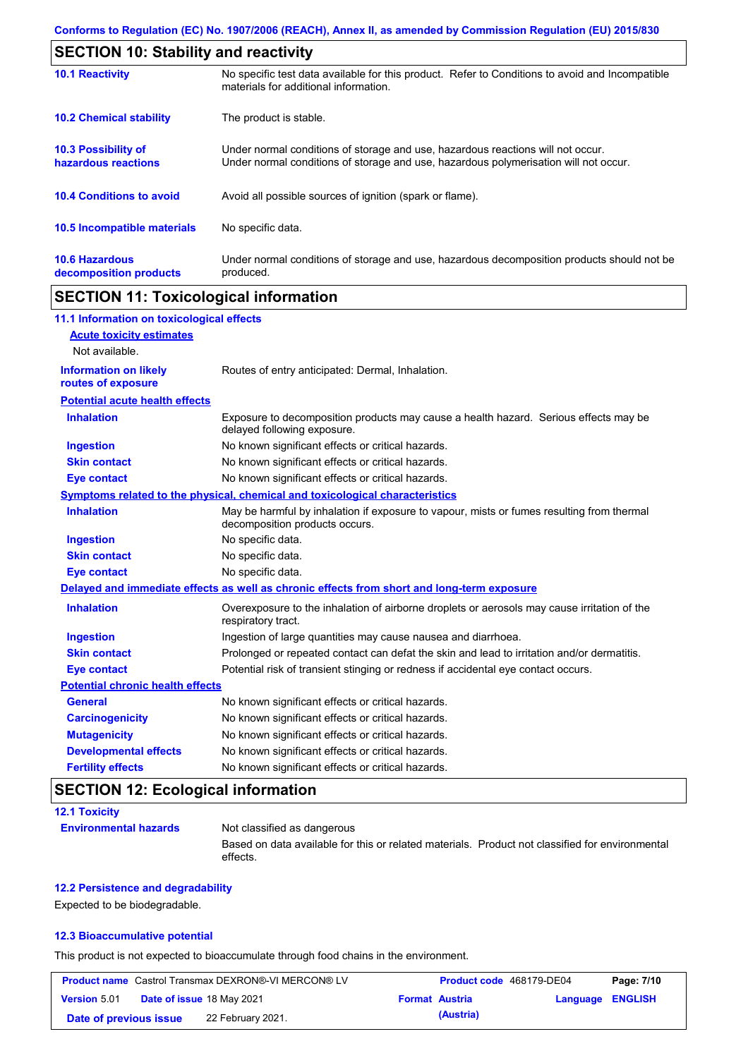| <b>SECTION 10: Stability and reactivity</b>       |                                                                                                                                                                         |  |  |  |
|---------------------------------------------------|-------------------------------------------------------------------------------------------------------------------------------------------------------------------------|--|--|--|
| <b>10.1 Reactivity</b>                            | No specific test data available for this product. Refer to Conditions to avoid and Incompatible<br>materials for additional information.                                |  |  |  |
| <b>10.2 Chemical stability</b>                    | The product is stable.                                                                                                                                                  |  |  |  |
| <b>10.3 Possibility of</b><br>hazardous reactions | Under normal conditions of storage and use, hazardous reactions will not occur.<br>Under normal conditions of storage and use, hazardous polymerisation will not occur. |  |  |  |
| <b>10.4 Conditions to avoid</b>                   | Avoid all possible sources of ignition (spark or flame).                                                                                                                |  |  |  |
| <b>10.5 Incompatible materials</b>                | No specific data.                                                                                                                                                       |  |  |  |
| <b>10.6 Hazardous</b><br>decomposition products   | Under normal conditions of storage and use, hazardous decomposition products should not be<br>produced.                                                                 |  |  |  |

# **SECTION 11: Toxicological information**

| 11.1 Information on toxicological effects |                                                                                                                             |
|-------------------------------------------|-----------------------------------------------------------------------------------------------------------------------------|
| <b>Acute toxicity estimates</b>           |                                                                                                                             |
| Not available.                            |                                                                                                                             |
| <b>Information on likely</b>              | Routes of entry anticipated: Dermal, Inhalation.                                                                            |
| routes of exposure                        |                                                                                                                             |
| <b>Potential acute health effects</b>     |                                                                                                                             |
| <b>Inhalation</b>                         | Exposure to decomposition products may cause a health hazard. Serious effects may be<br>delayed following exposure.         |
| Ingestion                                 | No known significant effects or critical hazards.                                                                           |
| <b>Skin contact</b>                       | No known significant effects or critical hazards.                                                                           |
| <b>Eye contact</b>                        | No known significant effects or critical hazards.                                                                           |
|                                           | Symptoms related to the physical, chemical and toxicological characteristics                                                |
| <b>Inhalation</b>                         | May be harmful by inhalation if exposure to vapour, mists or fumes resulting from thermal<br>decomposition products occurs. |
| <b>Ingestion</b>                          | No specific data.                                                                                                           |
| <b>Skin contact</b>                       | No specific data.                                                                                                           |
| <b>Eye contact</b>                        | No specific data.                                                                                                           |
|                                           | Delayed and immediate effects as well as chronic effects from short and long-term exposure                                  |
| <b>Inhalation</b>                         | Overexposure to the inhalation of airborne droplets or aerosols may cause irritation of the<br>respiratory tract.           |
| <b>Ingestion</b>                          | Ingestion of large quantities may cause nausea and diarrhoea.                                                               |
| <b>Skin contact</b>                       | Prolonged or repeated contact can defat the skin and lead to irritation and/or dermatitis.                                  |
| <b>Eye contact</b>                        | Potential risk of transient stinging or redness if accidental eye contact occurs.                                           |
| <b>Potential chronic health effects</b>   |                                                                                                                             |
| <b>General</b>                            | No known significant effects or critical hazards.                                                                           |
| <b>Carcinogenicity</b>                    | No known significant effects or critical hazards.                                                                           |
| <b>Mutagenicity</b>                       | No known significant effects or critical hazards.                                                                           |
| <b>Developmental effects</b>              | No known significant effects or critical hazards.                                                                           |
| <b>Fertility effects</b>                  | No known significant effects or critical hazards.                                                                           |

# **SECTION 12: Ecological information**

| <b>12.1 Toxicity</b>         |                                                                                                             |
|------------------------------|-------------------------------------------------------------------------------------------------------------|
| <b>Environmental hazards</b> | Not classified as dangerous                                                                                 |
|                              | Based on data available for this or related materials. Product not classified for environmental<br>effects. |

### **12.2 Persistence and degradability**

Expected to be biodegradable.

### **12.3 Bioaccumulative potential**

This product is not expected to bioaccumulate through food chains in the environment.

| <b>Product name</b> Castrol Transmax DEXRON®-VI MERCON® LV |                                  | Product code 468179-DE04 |           | Page: 7/10       |  |
|------------------------------------------------------------|----------------------------------|--------------------------|-----------|------------------|--|
| <b>Version 5.01</b>                                        | <b>Date of issue 18 May 2021</b> | <b>Format Austria</b>    |           | Language ENGLISH |  |
| Date of previous issue                                     | 22 February 2021.                |                          | (Austria) |                  |  |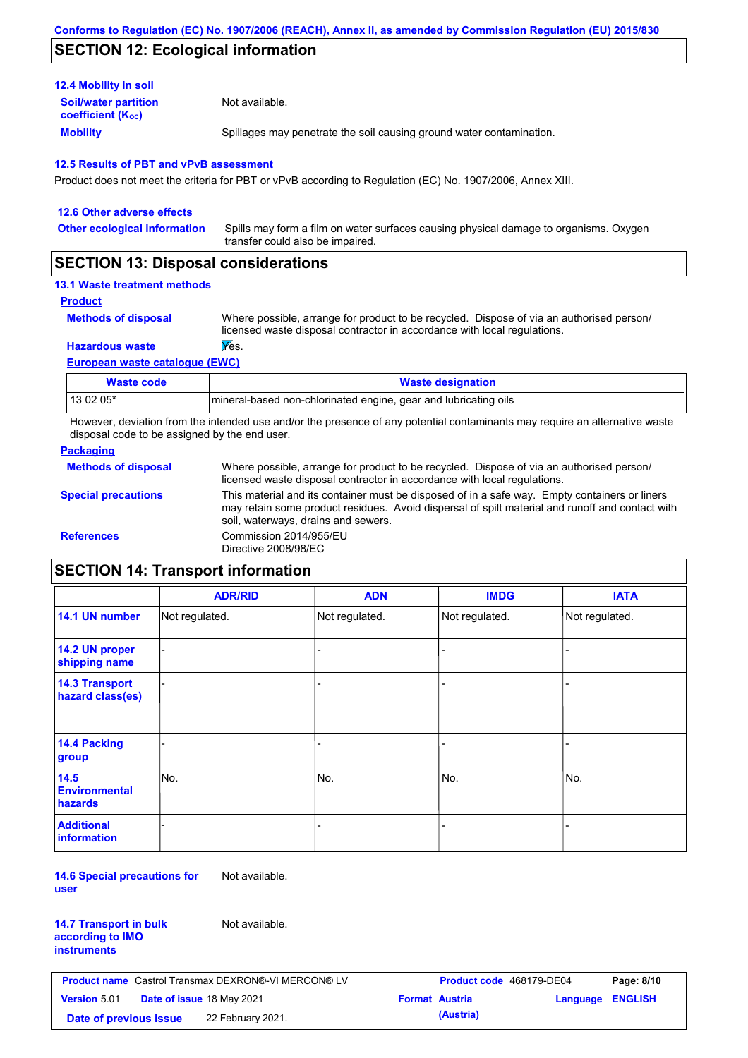### **SECTION 12: Ecological information**

| <b>12.4 Mobility in soil</b>                                  |                                                                      |
|---------------------------------------------------------------|----------------------------------------------------------------------|
| <b>Soil/water partition</b><br>coefficient (K <sub>oc</sub> ) | Not available.                                                       |
| <b>Mobility</b>                                               | Spillages may penetrate the soil causing ground water contamination. |

#### **12.5 Results of PBT and vPvB assessment**

Product does not meet the criteria for PBT or vPvB according to Regulation (EC) No. 1907/2006, Annex XIII.

| 12.6 Other adverse effects          |                                                                                                                           |
|-------------------------------------|---------------------------------------------------------------------------------------------------------------------------|
| <b>Other ecological information</b> | Spills may form a film on water surfaces causing physical damage to organisms. Oxygen<br>transfer could also be impaired. |
|                                     |                                                                                                                           |

### **SECTION 13: Disposal considerations**

### **13.1 Waste treatment methods**

```
Product
```
**Methods of disposal**

Where possible, arrange for product to be recycled. Dispose of via an authorised person/ licensed waste disposal contractor in accordance with local regulations.

#### **Hazardous waste Wes.**

**European waste catalogue (EWC)**

| Waste code | <b>Waste designation</b>                                        |
|------------|-----------------------------------------------------------------|
| 13 02 05*  | mineral-based non-chlorinated engine, gear and lubricating oils |

However, deviation from the intended use and/or the presence of any potential contaminants may require an alternative waste disposal code to be assigned by the end user.

#### **Packaging**

| <b>Methods of disposal</b> | Where possible, arrange for product to be recycled. Dispose of via an authorised person/<br>licensed waste disposal contractor in accordance with local regulations.                                                                    |
|----------------------------|-----------------------------------------------------------------------------------------------------------------------------------------------------------------------------------------------------------------------------------------|
| <b>Special precautions</b> | This material and its container must be disposed of in a safe way. Empty containers or liners<br>may retain some product residues. Avoid dispersal of spilt material and runoff and contact with<br>soil, waterways, drains and sewers. |
| <b>References</b>          | Commission 2014/955/EU<br>Directive 2008/98/EC                                                                                                                                                                                          |

# **SECTION 14: Transport information**

|                                           | <b>ADR/RID</b> | <b>ADN</b>     | <b>IMDG</b>    | <b>IATA</b>    |
|-------------------------------------------|----------------|----------------|----------------|----------------|
| 14.1 UN number                            | Not regulated. | Not regulated. | Not regulated. | Not regulated. |
| 14.2 UN proper<br>shipping name           |                |                | -              |                |
| <b>14.3 Transport</b><br>hazard class(es) |                |                | -              |                |
| <b>14.4 Packing</b><br>group              |                |                |                |                |
| 14.5<br><b>Environmental</b><br>hazards   | No.            | No.            | No.            | No.            |
| <b>Additional</b><br><b>information</b>   |                |                |                |                |

**14.6 Special precautions for user** Not available.

| <b>14.7 Transport in bulk</b> |  |
|-------------------------------|--|
| according to IMO              |  |
| instruments                   |  |

Not available.

| <b>Product name</b> Castrol Transmax DEXRON®-VI MERCON® LV |  | <b>Product code</b> 468179-DE04  |  | Page: 8/10            |                  |  |
|------------------------------------------------------------|--|----------------------------------|--|-----------------------|------------------|--|
| <b>Version 5.01</b>                                        |  | <b>Date of issue 18 May 2021</b> |  | <b>Format Austria</b> | Language ENGLISH |  |
| Date of previous issue                                     |  | 22 February 2021.                |  | (Austria)             |                  |  |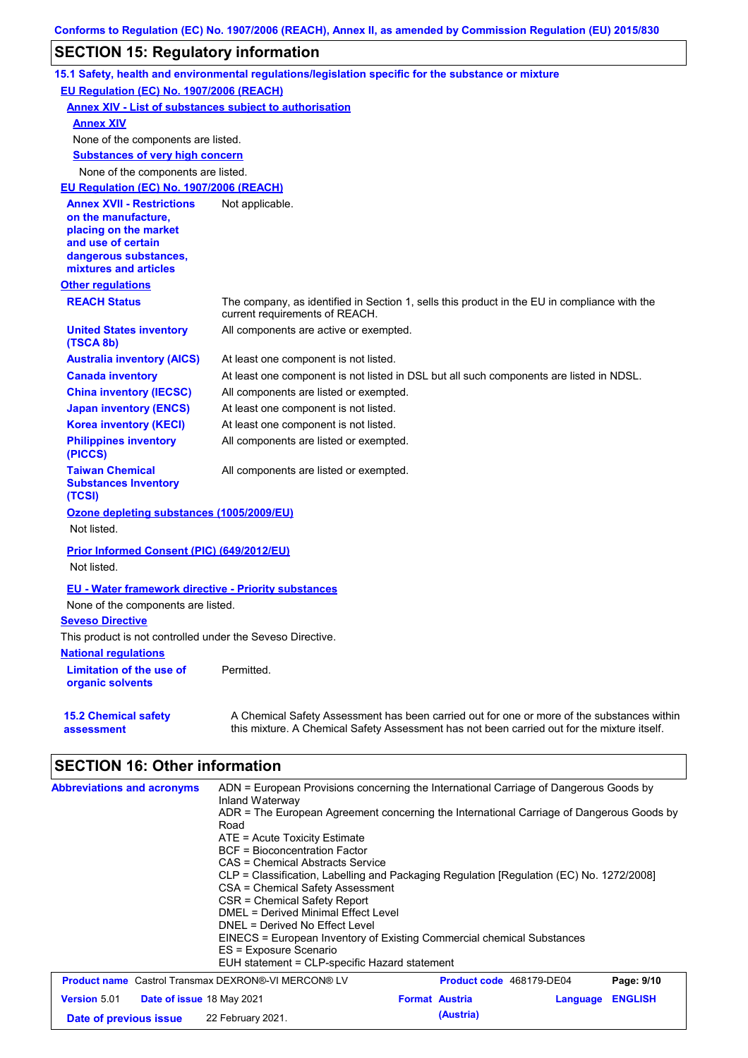# **SECTION 15: Regulatory information**

|                                                                                                                                                          | 15.1 Safety, health and environmental regulations/legislation specific for the substance or mixture                                                                                       |
|----------------------------------------------------------------------------------------------------------------------------------------------------------|-------------------------------------------------------------------------------------------------------------------------------------------------------------------------------------------|
| <b>EU Regulation (EC) No. 1907/2006 (REACH)</b>                                                                                                          |                                                                                                                                                                                           |
| <b>Annex XIV - List of substances subject to authorisation</b>                                                                                           |                                                                                                                                                                                           |
| <b>Annex XIV</b>                                                                                                                                         |                                                                                                                                                                                           |
| None of the components are listed.                                                                                                                       |                                                                                                                                                                                           |
| <b>Substances of very high concern</b>                                                                                                                   |                                                                                                                                                                                           |
| None of the components are listed.                                                                                                                       |                                                                                                                                                                                           |
| EU Regulation (EC) No. 1907/2006 (REACH)                                                                                                                 |                                                                                                                                                                                           |
| <b>Annex XVII - Restrictions</b><br>on the manufacture,<br>placing on the market<br>and use of certain<br>dangerous substances,<br>mixtures and articles | Not applicable.                                                                                                                                                                           |
| <b>Other regulations</b>                                                                                                                                 |                                                                                                                                                                                           |
| <b>REACH Status</b>                                                                                                                                      | The company, as identified in Section 1, sells this product in the EU in compliance with the<br>current requirements of REACH.                                                            |
| <b>United States inventory</b><br>(TSCA 8b)                                                                                                              | All components are active or exempted.                                                                                                                                                    |
| <b>Australia inventory (AICS)</b>                                                                                                                        | At least one component is not listed.                                                                                                                                                     |
| <b>Canada inventory</b>                                                                                                                                  | At least one component is not listed in DSL but all such components are listed in NDSL.                                                                                                   |
| <b>China inventory (IECSC)</b>                                                                                                                           | All components are listed or exempted.                                                                                                                                                    |
| <b>Japan inventory (ENCS)</b>                                                                                                                            | At least one component is not listed.                                                                                                                                                     |
| <b>Korea inventory (KECI)</b>                                                                                                                            | At least one component is not listed.                                                                                                                                                     |
| <b>Philippines inventory</b><br>(PICCS)                                                                                                                  | All components are listed or exempted.                                                                                                                                                    |
| <b>Taiwan Chemical</b><br><b>Substances Inventory</b><br>(TCSI)                                                                                          | All components are listed or exempted.                                                                                                                                                    |
| Ozone depleting substances (1005/2009/EU)<br>Not listed.                                                                                                 |                                                                                                                                                                                           |
| Prior Informed Consent (PIC) (649/2012/EU)                                                                                                               |                                                                                                                                                                                           |
| Not listed.                                                                                                                                              |                                                                                                                                                                                           |
| <b>EU - Water framework directive - Priority substances</b>                                                                                              |                                                                                                                                                                                           |
| None of the components are listed.                                                                                                                       |                                                                                                                                                                                           |
| <b>Seveso Directive</b>                                                                                                                                  |                                                                                                                                                                                           |
| This product is not controlled under the Seveso Directive.                                                                                               |                                                                                                                                                                                           |
| <b>National requiations</b>                                                                                                                              |                                                                                                                                                                                           |
| <b>Limitation of the use of</b><br>organic solvents                                                                                                      | Permitted.                                                                                                                                                                                |
| <b>15.2 Chemical safety</b><br>assessment                                                                                                                | A Chemical Safety Assessment has been carried out for one or more of the substances within<br>this mixture. A Chemical Safety Assessment has not been carried out for the mixture itself. |

| <b>Abbreviations and acronyms</b>                          | ADN = European Provisions concerning the International Carriage of Dangerous Goods by<br>Inland Waterway<br>ADR = The European Agreement concerning the International Carriage of Dangerous Goods by<br>Road<br>$ATE = Acute Toxicity Estimate$<br>BCF = Bioconcentration Factor<br>CAS = Chemical Abstracts Service<br>CLP = Classification, Labelling and Packaging Regulation [Regulation (EC) No. 1272/2008]<br>CSA = Chemical Safety Assessment<br>CSR = Chemical Safety Report<br>DMEL = Derived Minimal Effect Level<br>DNEL = Derived No Effect Level<br>EINECS = European Inventory of Existing Commercial chemical Substances<br>ES = Exposure Scenario<br>EUH statement = CLP-specific Hazard statement |                          |          |                |
|------------------------------------------------------------|--------------------------------------------------------------------------------------------------------------------------------------------------------------------------------------------------------------------------------------------------------------------------------------------------------------------------------------------------------------------------------------------------------------------------------------------------------------------------------------------------------------------------------------------------------------------------------------------------------------------------------------------------------------------------------------------------------------------|--------------------------|----------|----------------|
| <b>Product name</b> Castrol Transmax DEXRON®-VI MERCON® LV |                                                                                                                                                                                                                                                                                                                                                                                                                                                                                                                                                                                                                                                                                                                    | Product code 468179-DE04 |          | Page: 9/10     |
| <b>Version 5.01</b><br><b>Date of issue 18 May 2021</b>    |                                                                                                                                                                                                                                                                                                                                                                                                                                                                                                                                                                                                                                                                                                                    | <b>Format Austria</b>    | Language | <b>ENGLISH</b> |
| Date of previous issue                                     | 22 February 2021.                                                                                                                                                                                                                                                                                                                                                                                                                                                                                                                                                                                                                                                                                                  | (Austria)                |          |                |